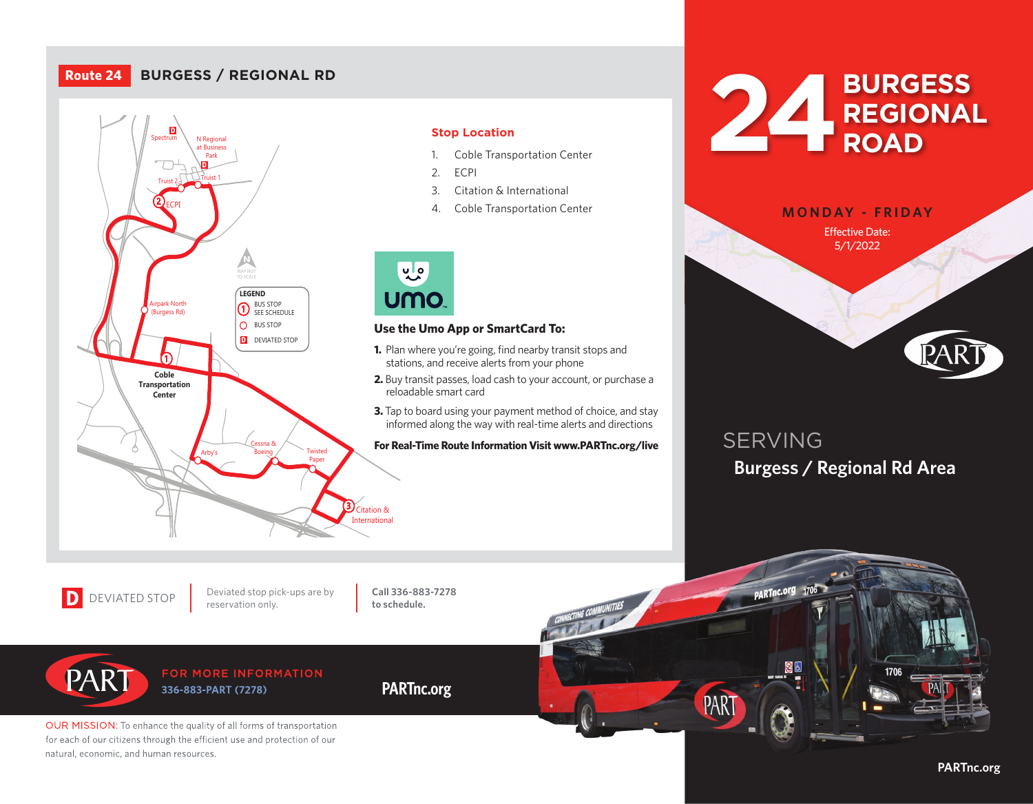# **Route 24 BURGESS / REGIONAL RD**



## **Stop Location**

- 1. Coble Transportation Center
- 2. ECPI
- 3. Citation & International
- 4. Coble Transportation Center



### **Use the Umo App or SmartCard To:**

- **David is a stations, and receive alerts from your phone 1.** Plan where you're going, find nearby transit stops and
- **2.** Buy transit passes, load cash to your account, or purchase a reloadable smart card
- **3.** Tap to board using your payment method of choice, and stay informed along the way with real-time alerts and directions

**For Real-Time Route Information Visit www.PARTnc.org/live**





# SERVING **Burgess / Regional Rd Area**

D DEVIATED STOP Deviated stop pion

PART

Deviated stop pick-ups are by

**Call 336-883-7278 to schedule.**

**PARTnc.org**

## FOR MORE INFORMATION 336-883-PART (7278)

OUR MISSION: To enhance the quality of all forms of transportation for each of our citizens through the efficient use and protection of our natural, economic, and human resources.



## **PARTnc.org**